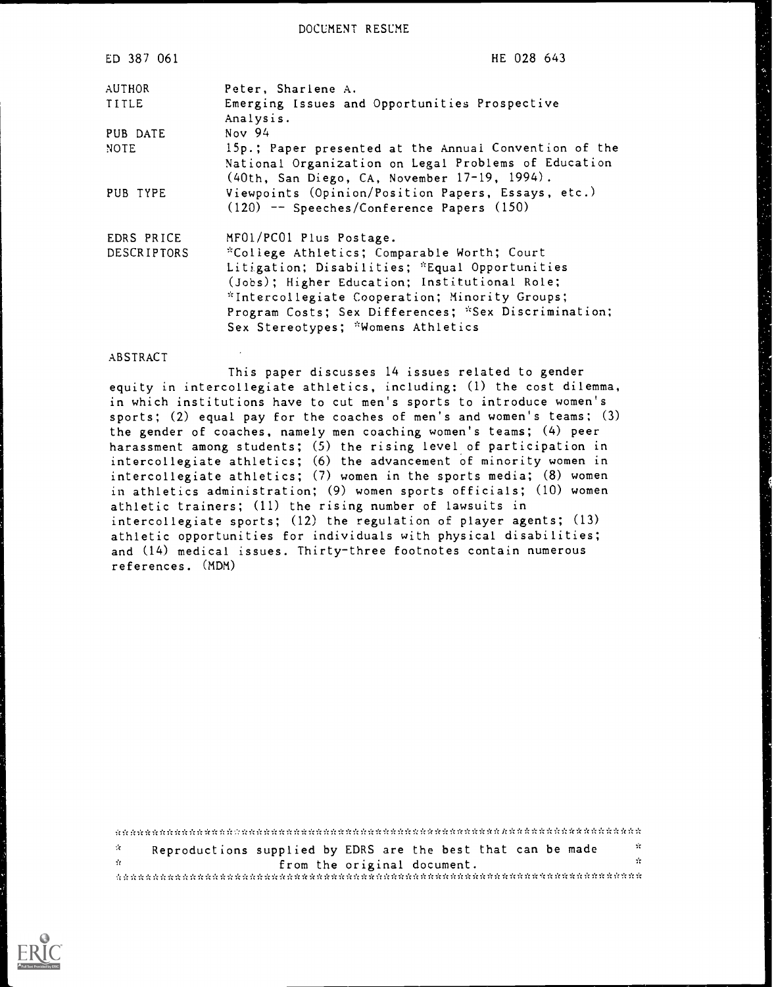DOCUMENT RESUME

| ED 387 061                | HE 028 643                                                                                                                                                                                                                                                                                                                |
|---------------------------|---------------------------------------------------------------------------------------------------------------------------------------------------------------------------------------------------------------------------------------------------------------------------------------------------------------------------|
| AUTHOR                    | Peter, Sharlene A.                                                                                                                                                                                                                                                                                                        |
| TITLE                     | Emerging Issues and Opportunities Prospective<br>Analysis.                                                                                                                                                                                                                                                                |
| PUB DATE                  | Nov $94$                                                                                                                                                                                                                                                                                                                  |
| NOTE                      | 15p.; Paper presented at the Annual Convention of the<br>National Organization on Legal Problems of Education<br>(40th, San Diego, CA, November 17-19, 1994).                                                                                                                                                             |
| PUB TYPE                  | Viewpoints (Opinion/Position Papers, Essays, etc.)<br>$(120)$ -- Speeches/Conference Papers $(150)$                                                                                                                                                                                                                       |
| EDRS PRICE<br>DESCRIPTORS | MF01/PC01 Plus Postage.<br>*College Athletics; Comparable Worth; Court<br>Litigation; Disabilities; *Equal Opportunities<br>(Jobs); Higher Education; Institutional Role;<br>*Intercollegiate Cooperation; Minority Groups;<br>Program Costs; Sex Differences; *Sex Discrimination;<br>Sex Stereotypes; *Womens Athletics |

#### ABSTRACT

This paper discusses 14 issues related to gender equity in intercollegiate athletics, including: (I) the cost dilemma, in which institutions have to cut men's sports to introduce women's sports; (2) equal pay for the coaches of men's and women's teams; (3) the gender of coaches, namely men coaching women's teams; (4) peer harassment among students; (5) the rising level.of participation in intercollegiate athletics; (6) the advancement of minority women in intercollegiate athletics; (7) women in the sports media; (8) women in athletics administration; (9) women sports officials; (10) women athletic trainers; (11) the rising number of lawsuits in intercollegiate sports; (12) the regulation of player agents; (13) athletic opportunities for individuals with physical disabilities; and (14) medical issues. Thirty-three footnotes contain numerous references. (MDM)

| <b>COLLECTION</b> | Reproductions supplied by EDRS are the best that can be made | ÷  |
|-------------------|--------------------------------------------------------------|----|
| -11               | from the original document.                                  | 77 |
|                   |                                                              |    |

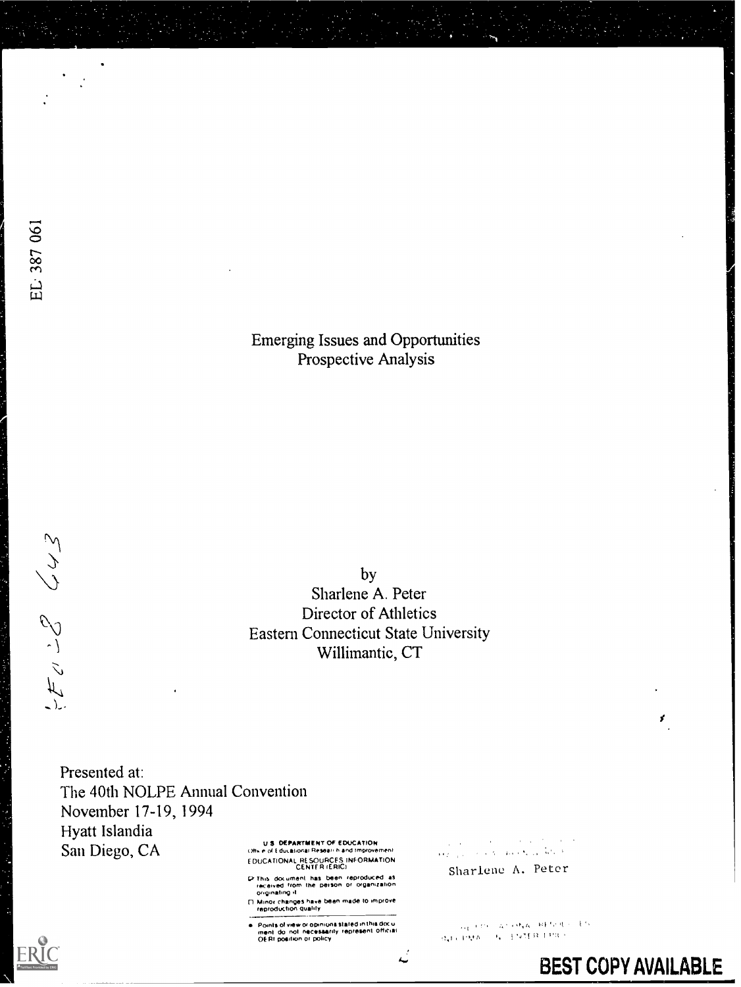#### Emerging Issues and Opportunities Prospective Analysis

by Sharlene A. Peter Director of Athletics Eastern Connecticut State University Willimantic, CT

Presented at: The 40th NOLPE Annual Convention November 17-19, 1994 Hyatt Islandia San Diego, CA

**U.S. DEPARTMENT OF EDUCATION**<br>Other of Educational Research and Improvement [DUCA TIONAL RESOURCES INFORMATION CENTER (ERICI

C This document has been reproduced as<br>- received from the person or organization<br>- originating it

n Minot changes nave been made to itinguove reproduction Quality

Points of view or opinions stated in this docu<br>ment :do: not inecessarity lepresent official<br>OERI position or policy

سه

 $\mathcal{L}(\mathbf{q})$  and  $\mathcal{L}(\mathbf{q})$  and  $\mathcal{L}(\mathbf{q})$  and  $\mathcal{L}(\mathbf{q})$  $\Delta \sim 0.01$ Sharlene A. Peter

 $\omega_{\rm eff}$  are  $\omega_{\rm A}$  so  $\omega_{\rm A}$  and  $\omega_{\rm A}$  and  $\omega_{\rm A}$  $\alpha_{\rm v}$  is regard to be a positive process of  $\alpha$ 



EL: 387 061

 $25222$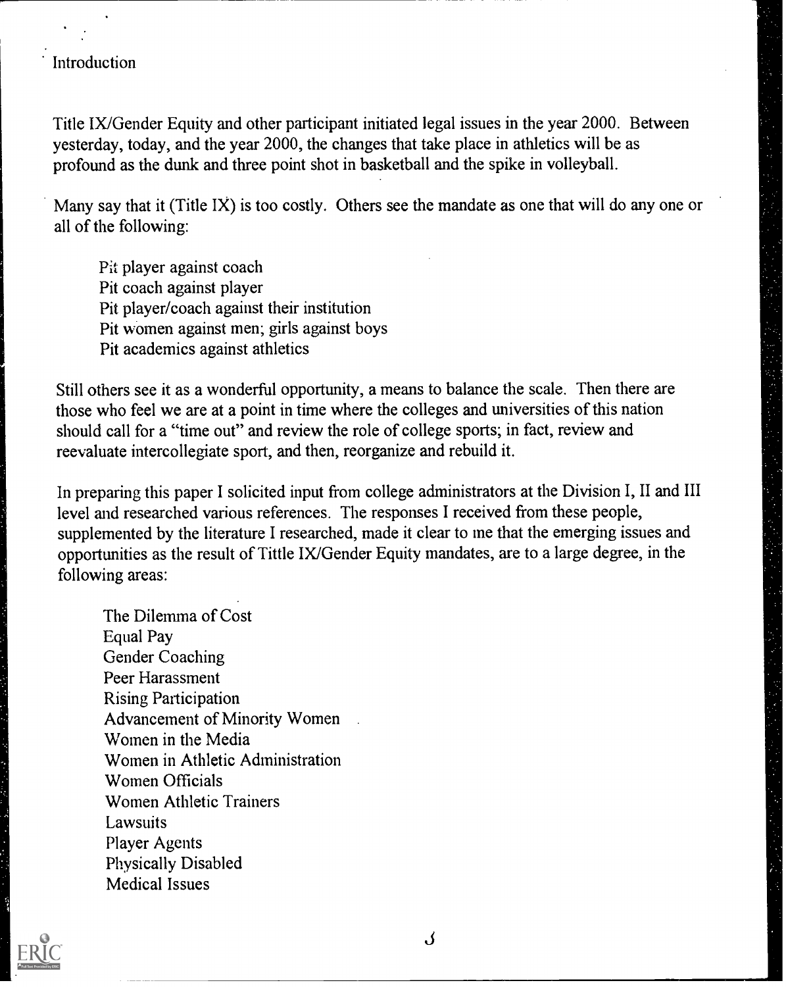#### Introduction

Title IX/Gender Equity and other participant initiated legal issues in the year 2000. Between yesterday, today, and the year 2000, the changes that take place in athletics will be as profound as the dunk and three point shot in basketball and the spike in volleyball.

Many say that it (Title IX) is too costly. Others see the mandate as one that will do any one or all of the following:

Pit player against coach Pit coach against player Pit player/coach against their institution Pit women against men; girls against boys Pit academics against athletics

Still others see it as a wonderful opportunity, a means to balance the scale. Then there are those who feel we are at a point in time where the colleges and universities of this nation should call for a "time out" and review the role of college sports; in fact, review and reevaluate intercollegiate sport, and then, reorganize and rebuild it.

In preparing this paper I solicited input from college administrators at the Division I, II and III level and researched various references. The responses I received from these people, supplemented by the literature I researched, made it clear to me that the emerging issues and opportunities as the result of Tittle IX/Gender Equity mandates, are to a large degree, in the following areas:

The Dilemma of Cost Equal Pay Gender Coaching Peer Harassment Rising Participation Advancement of Minority Women Women in the Media Women in Athletic Administration Women Officials Women Athletic Trainers Lawsuits Player Agents Physically Disabled Medical Issues



J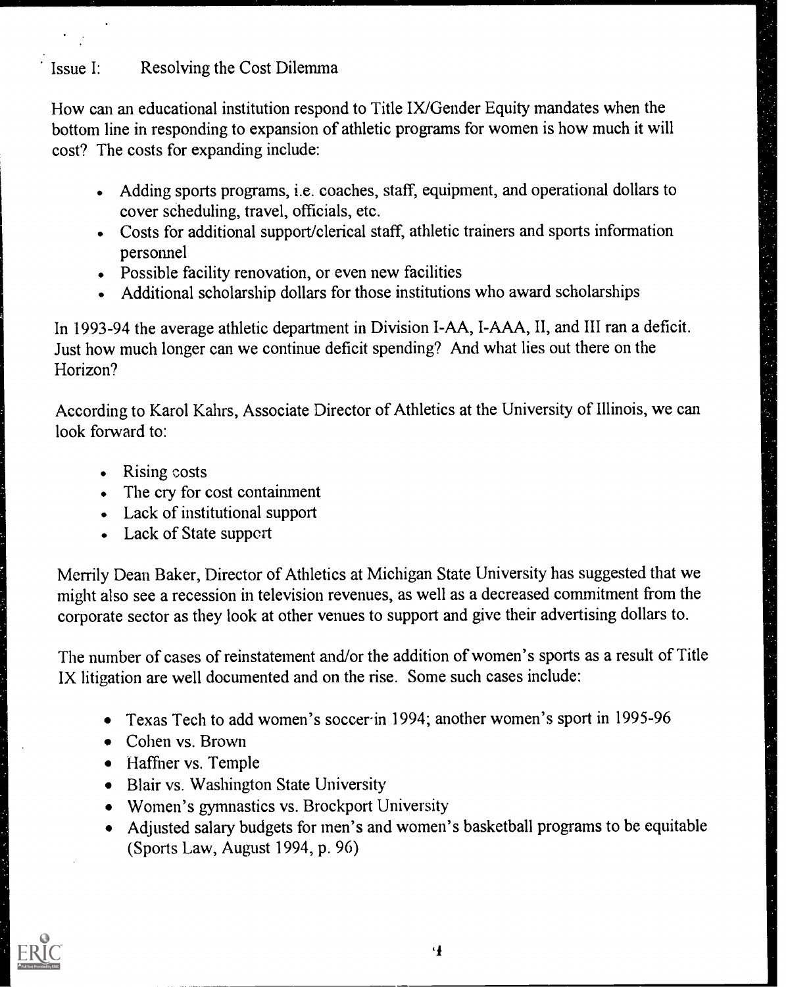## Issue I: Resolving the Cost Dilemma

How can an educational institution respond to Title IX/Gender Equity mandates when the bottom line in responding to expansion of athletic programs for women is how much it will cost? The costs for expanding include:

- Adding sports programs, i.e. coaches, staff, equipment, and operational dollars to cover scheduling, travel, officials, etc.
- Costs for additional support/clerical staff, athletic trainers and sports information personnel
- Possible facility renovation, or even new facilities
- Additional scholarship dollars for those institutions who award scholarships

In 1993-94 the average athletic department in Division I-AA, I-AAA, II, and III ran a deficit. Just how much longer can we continue deficit spending? And what lies out there on the Horizon?

According to Karol Kahrs, Associate Director of Athletics at the University of Illinois, we can look forward to:

- Rising costs
- The cry for cost containment
- Lack of institutional support
- Lack of State support

Merrily Dean Baker, Director of Athletics at Michigan State University has suggested that we might also see a recession in television revenues, as well as a decreased commitment from the corporate sector as they look at other venues to support and give their advertising dollars to.

The number of cases of reinstatement and/or the addition of women's sports as a result of Title IX litigation are well documented and on the rise. Some such cases include:

- Texas Tech to add women's soccerin 1994; another women's sport in 1995-96
- Cohen vs. Brown
- Haffner vs. Temple
- Blair vs. Washington State University
- Women's gymnastics vs. Brockport University
- Adjusted salary budgets for men's and women's basketball programs to be equitable (Sports Law, August 1994, p. 96)



4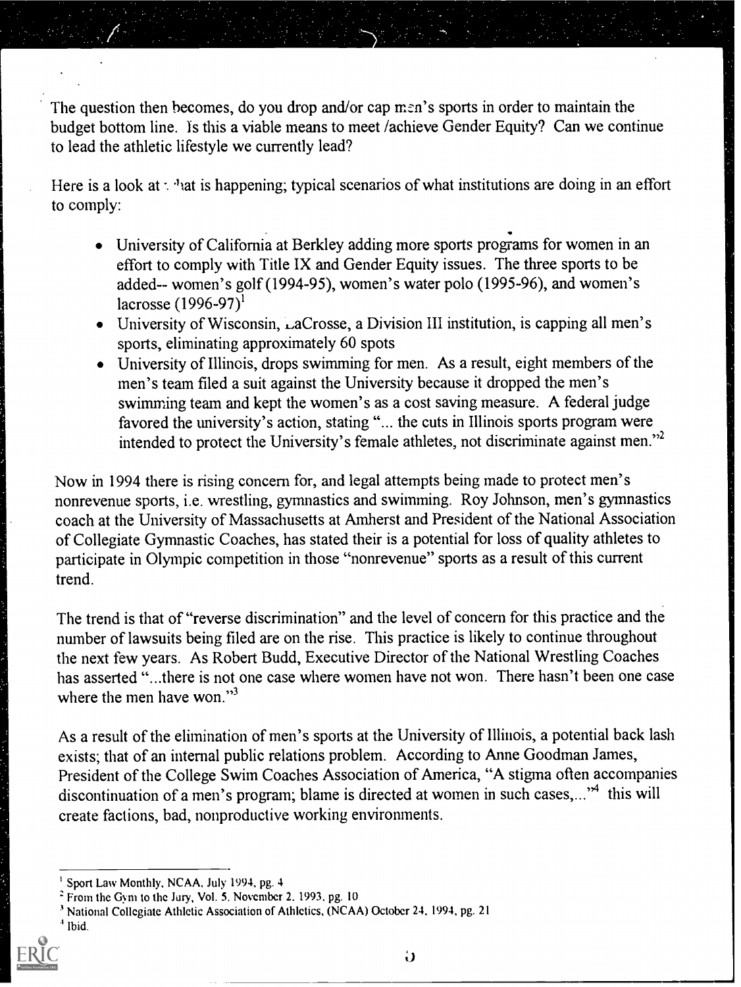The question then becomes, do you drop and/or cap men's sports in order to maintain the budget bottom line. is this a viable means to meet /achieve Gender Equity? Can we continue to lead the athletic lifestyle we currently lead?

Here is a look at  $\cdot$  <sup>1</sup> at is happening; typical scenarios of what institutions are doing in an effort to comply:

- University of California at Berkley adding more sports progams for women in an effort to comply with Title IX and Gender Equity issues. The three sports to be added-- women's golf (1994-95), women's water polo (1995-96), and women's lacrosse  $(1996-97)^1$
- $\bullet$  University of Wisconsin, LaCrosse, a Division III institution, is capping all men's sports, eliminating approximately 60 spots
- University of Illinois, drops swimming for men. As a result, eight members of the men's team filed a suit against the University because it dropped the men's swimming team and kept the women's as a cost saving measure. A federal judge favored the university's action, stating "... the cuts in Illinois sports program were intended to protect the University's female athletes, not discriminate against men."2

Now in 1994 there is rising concern for, and legal attempts being made to protect men's nonrevenue sports, i.e. wrestling, gymnastics and swimming. Roy Johnson, men's gymnastics coach at the University of Massachusetts at Amherst and President of the National Association of Collegiate Gymnastic Coaches, has stated their is a potential for loss of quality athletes to participate in Olympic competition in those "nonrevenue" sports as a result of this current trend.

The trend is that of "reverse discrimination" and the level of concern for this practice and the number of lawsuits being filed are on the rise. This practice is likely to continue throughout the next few years. As Robert Budd, Executive Director of the National Wrestling Coaches has asserted "...there is not one case where women have not won. There hasn't been one case where the men have won."<sup>3</sup>

As a result of the elimination of men's sports at the University of Illinois, a potential back lash exists; that of an internal public relations problem. According to Anne Goodman James, President of the College Swim Coaches Association of America, "A stigma often accompanies discontinuation of a men's program; blame is directed at women in such cases,..."<sup>4</sup> this will create factions, bad, nonproductive working environments.

Sport Law Monthly, NCAA, July 1994, pg. 4

<sup>2</sup> From the Gym to thc Jury, Vol. 5. November 2, 1993, pg. 10

<sup>3</sup> National Collegiate Athletic Association of Athletics, (NCAA) October 24, 1994, pg. 21

Ibid.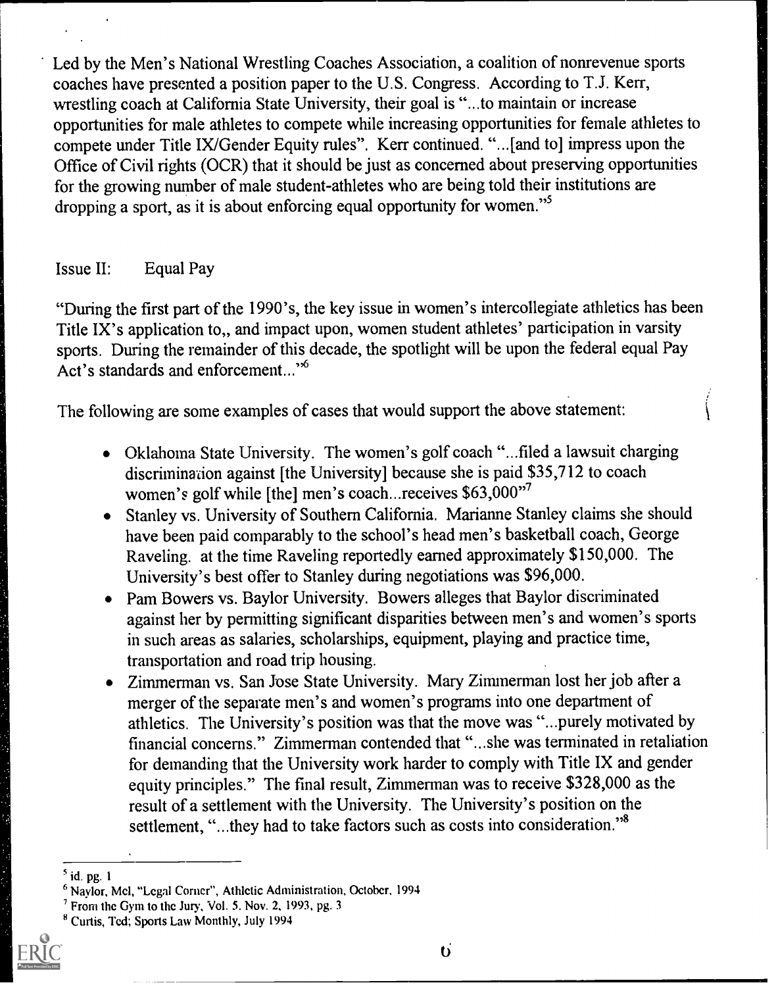Led by the Men's National Wrestling Coaches Association, a coalition of nonrevenue sports coaches have presented a position paper to the U.S. Congress. According to T.J. Kerr, wrestling coach at California State University, their goal is "...to maintain or increase opportunities for male athletes to compete while increasing opportunities for female athletes to compete under Title IX/Gender Equity rules". Kerr continued. "...[and to] impress upon the Office of Civil rights (OCR) that it should be just as concerned about preserving opportunities for the growing number of male student-athletes who are being told their institutions are dropping a sport, as it is about enforcing equal opportunity for women."<sup>5</sup>

#### Issue II: Equal Pay

"During the first part of the 1990's, the key issue in women's intercollegiate athletics has been Title IX's application to., and impact upon, women student athletes' participation in varsity sports. During the remainder of this decade, the spotlight will be upon the federal equal Pay Act's standards and enforcement..."6

The following are some examples of cases that would support the above statement:

- Oklahoma State University. The women's golf coach "...filed a lawsuit charging discrimination against [the University] because she is paid \$35,712 to coach women's golf while [the] men's coach...receives \$63,000"7
- Stanley vs. University of Southern California. Marianne Stanley claims she should have been paid comparably to the school's head men's basketball coach, George Raveling, at the time Raveling reportedly earned approximately \$150,000. The University's best offer to Stanley during negotiations was \$96,000.
- Pam Bowers vs. Baylor University. Bowers alleges that Baylor discriminated against her by permitting significant disparities between men's and women's sports in such areas as salaries, scholarships, equipment, playing and practice time, transportation and road trip housing.
- Zimmerman vs. San Jose State University. Mary Zimmerman lost her job after a merger of the separate men's and women's programs into one department of athletics. The University's position was that the move was "...purely motivated by financial concerns." Zimmerman contended that "...she was terminated in retaliation for demanding that the University work harder to comply with Title IX and gender equity principles." The final result, Zimmerman was to receive \$328,000 as the result of a settlement with the University. The University's position on the settlement, "...they had to take factors such as costs into consideration."<sup>8</sup>

<sup>8</sup> Curtis, Ted; Sports Law Monthly, July 1994



 $<sup>5</sup>$  id. pg. 1</sup>

<sup>6</sup> Naylor, Mel, "Legal Corner", Athletic Administration, October, 1994

 $<sup>7</sup>$  From the Gym to the Jury, Vol. 5. Nov. 2, 1993, pg. 3</sup>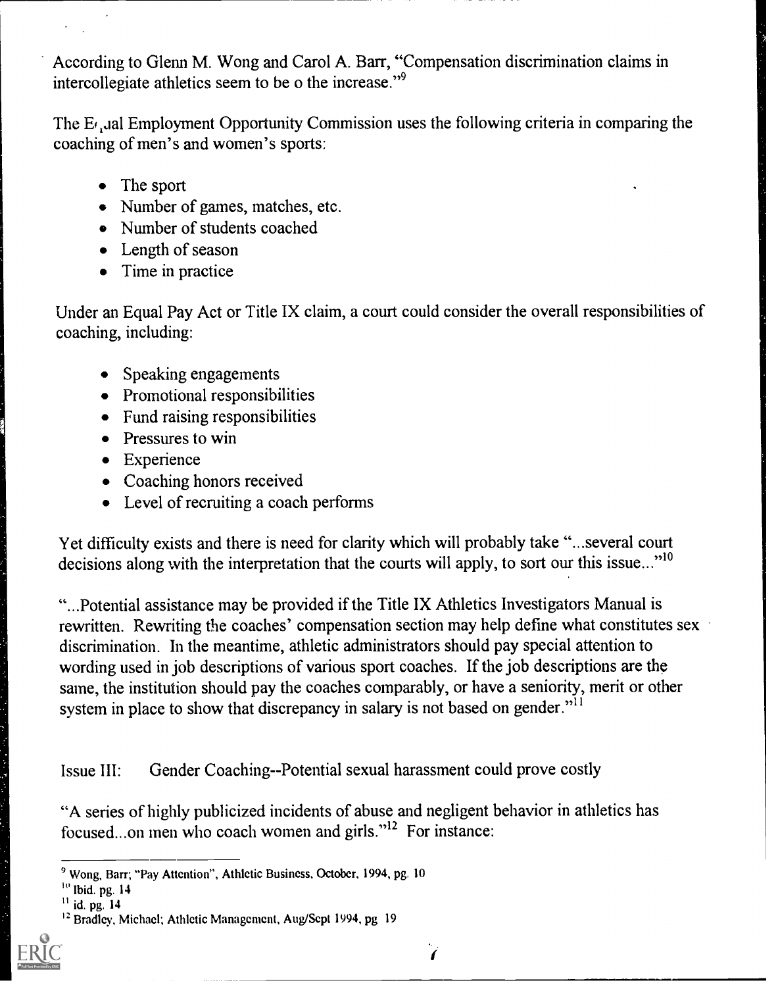According to Glenn M. Wong and Carol A. Barr, "Compensation discrimination claims in intercollegiate athletics seem to be o the increase."9

The  $E_{\ell}$  Jal Employment Opportunity Commission uses the following criteria in comparing the coaching of men's and women's sports:

- The sport
- Number of games, matches, etc.
- Number of students coached
- Length of season
- Time in practice

Under an Equal Pay Act or Title IX claim, a court could consider the overall responsibilities of coaching, including:

- Speaking engagements
- Promotional responsibilities
- Fund raising responsibilities
- Pressures to win
- Experience
- Coaching honors received
- Level of recruiting a coach performs

Yet difficulty exists and there is need for clarity which will probably take "...several court decisions along with the interpretation that the courts will apply, to sort our this issue..."<sup>10</sup>

"...Potential assistance may be provided if the Title IX Athletics Investigators Manual is rewritten. Rewriting the coaches' compensation section may help define what constitutes sex discrimination. In the meantime, athletic administrators should pay special attention to wording used in job descriptions of various sport coaches. If the job descriptions are the same, the institution should pay the coaches comparably, or have a seniority, merit or other system in place to show that discrepancy in salary is not based on gender."<sup>11</sup>

Issue III: Gender Coaching--Potential sexual harassment could prove costly

"A series of highly publicized incidents of abuse and negligent behavior in athletics has focused...on men who coach women and girls."12 For instance:

<sup>&</sup>lt;sup>12</sup> Bradley, Michael; Athletic Management, Aug/Sept 1994, pg 19



<sup>9</sup> Wong, Barr; "Pay Attention", Athletic Business, October, 1994, pg. 10

 $\frac{10}{10}$  Ibid. pg. 14

 $^{11}$  id. pg.  $14$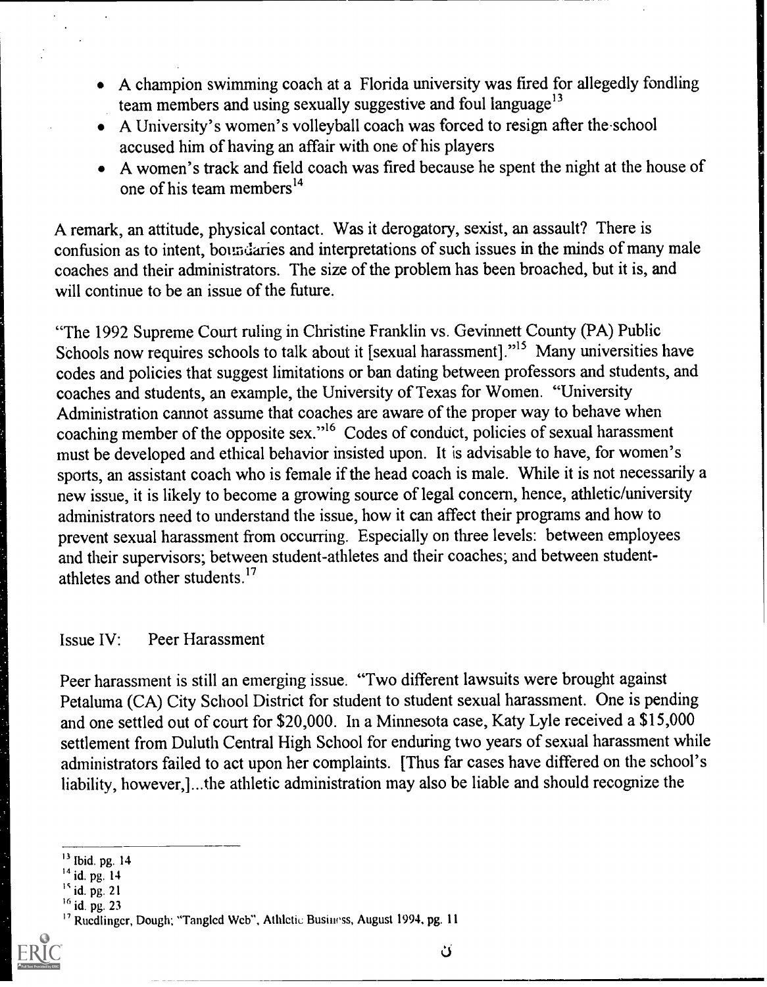- A champion swimming coach at a Florida university was fired for allegedly fondling team members and using sexually suggestive and foul language $13$
- A University's women's volleyball coach was forced to resign after the school accused him of having an affair with one of his players
- A women's track and field coach was fired because he spent the night at the house of one of his team members<sup>14</sup>

A remark, an attitude, physical contact. Was it derogatory, sexist, an assault? There is confusion as to intent, boundaries and interpretations of such issues in the minds of many male coaches and their administrators. The size of the problem has been broached, but it is, and will continue to be an issue of the future.

"The 1992 Supreme Court ruling in Christine Franklin vs. Gevinnett County (PA) Public Schools now requires schools to talk about it [sexual harassment]."<sup>15</sup> Many universities have codes and policies that suggest limitations or ban dating between professors and students, and coaches and students, an example, the University of Texas for Women. "University Administration cannot assume that coaches are aware of the proper way to behave when coaching member of the opposite sex."16 Codes of conduct, policies of sexual harassment must be developed and ethical behavior insisted upon. It is advisable to have, for women's sports, an assistant coach who is female if the head coach is male. While it is not necessarily a new issue, it is likely to become a growing source of legal concern, hence, athletic/university administrators need to understand the issue, how it can affect their programs and how to prevent sexual harassment from occurring. Especially on three levels: between employees and their supervisors; between student-athletes and their coaches; and between studentathletes and other students.17

#### Issue IV: Peer Harassment

Peer harassment is still an emerging issue. "Two different lawsuits were brought against Petaluma (CA) City School District for student to student sexual harassment. One is pending and one settled out of court for \$20,000. In a Minnesota case, Katy Lyle received a \$15,000 settlement from Duluth Central High School for enduring two years of sexual harassment while administrators failed to act upon her complaints. [Thus far cases have differed on the school's liability, however,]...the athletic administration may also be liable and should recognize the

<sup>13</sup> Ibid. pg. 14

 $^{14}$  id. pg. 14

 $^{15}$  id. pg. 21<br> $^{16}$  id. pg. 23

<sup>&</sup>lt;sup>17</sup> Rucdlinger, Dough; "Tangled Web", Athletic Business, August 1994, pg. 11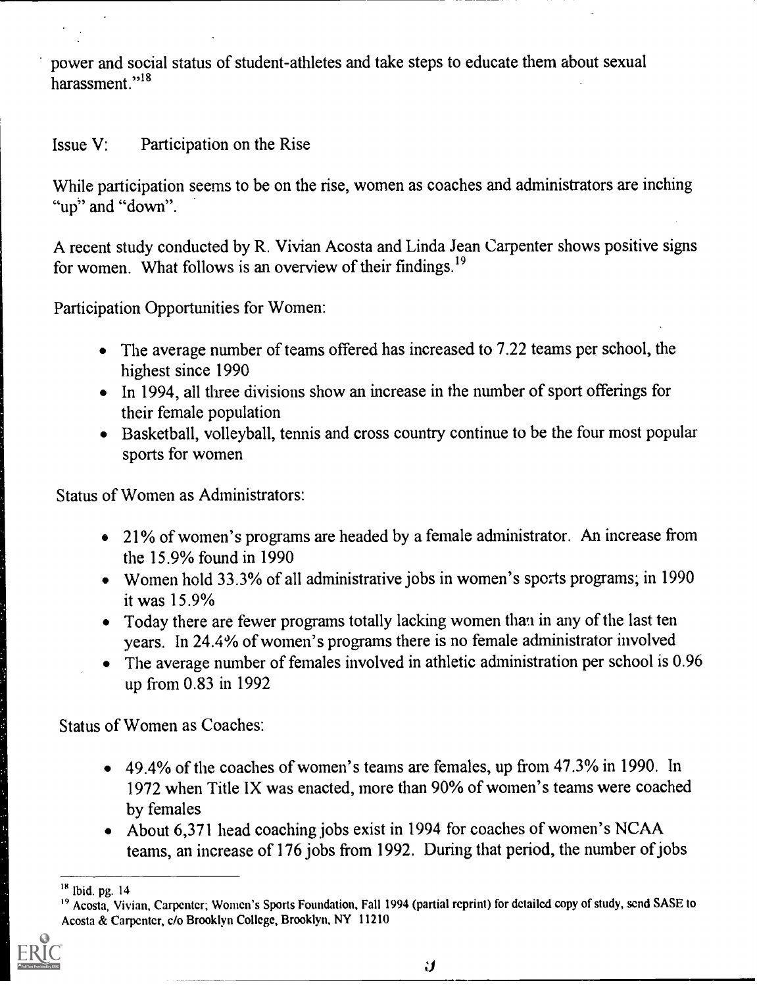power and social status of student-athletes and take steps to educate them about sexual harassment."<sup>18</sup>

## Issue V: Participation on the Rise

While participation seems to be on the rise, women as coaches and administrators are inching "up" and "down".

A recent study conducted by R. Vivian Acosta and Linda Jean Carpenter shows positive signs for women. What follows is an overview of their findings.<sup>19</sup>

Participation Opportunities for Women:

- The average number of teams offered has increased to 7.22 teams per school, the highest since 1990
- In 1994, all three divisions show an increase in the number of sport offerings for their female population
- Basketball, volleyball, tennis and cross country continue to be the four most popular sports for women

Status of Women as Administrators:

- 21% of women's programs are headed by a female administrator. An increase from the 15.9% found in 1990
- Women hold 33.3% of all administrative jobs in women's sports programs; in 1990 it was 15.9%
- Today there are fewer programs totally lacking women than in any of the last ten years. In 24.4% of women's programs there is no female administrator involved
- The average number of females involved in athletic administration per school is 0.96 up from 0.83 in 1992

Status of Women as Coaches:

- 49.4% of the coaches of women's teams are females, up from 47.3% in 1990. In 1972 when Title IX was enacted, more than 90% of women's teams were coached by females
- About 6,371 head coaching jobs exist in 1994 for coaches of women's NCAA teams, an increase of 176 jobs from 1992. During that period, the number of jobs

<sup>&</sup>lt;sup>19</sup> Acosta, Vivian, Carpenter; Women's Sports Foundation, Fall 1994 (partial reprint) for detailed copy of study, send SASE to Acosta & Carpenter, c/o Brooklyn College, Brooklyn, NY 11210



<sup>18</sup> Ibid. pg. 14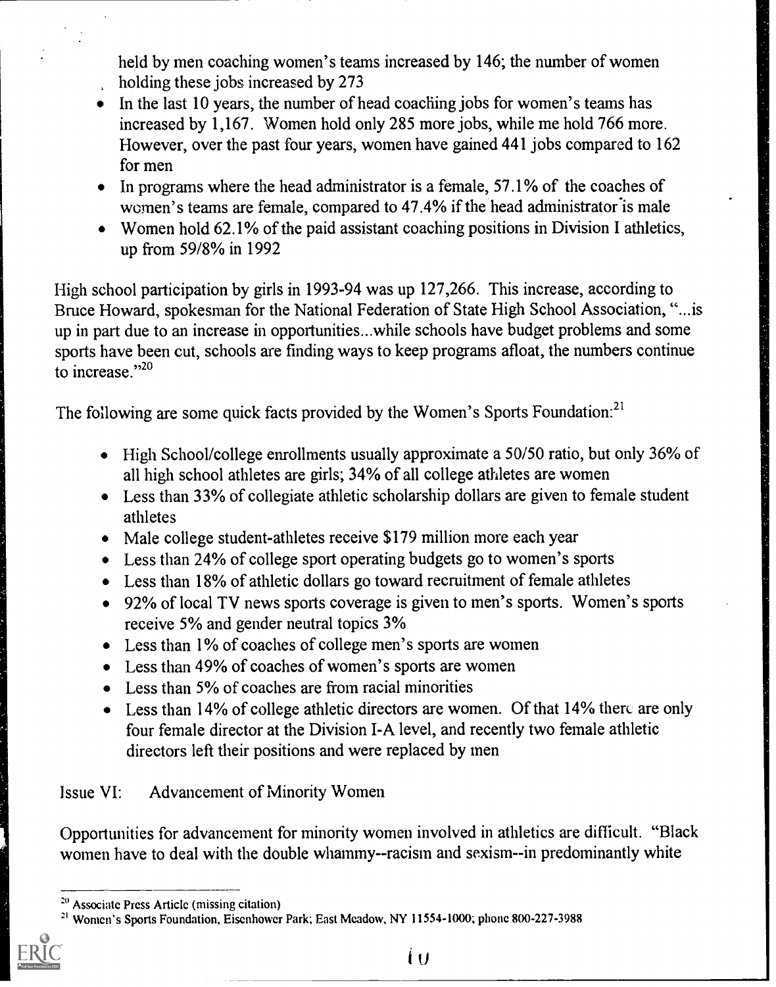held by men coaching women's teams increased by 146; the number of women holding these jobs increased by 273

- $\bullet$  In the last 10 years, the number of head coaching jobs for women's teams has increased by 1,167. Women hold only 285 more jobs, while me hold 766 more. However, over the past four years, women have gained 441 jobs compared to 162 for men
- $\bullet$  In programs where the head administrator is a female, 57.1% of the coaches of women's teams are female, compared to 47.4% if the head administrator is male
- Women hold 62.1% of the paid assistant coaching positions in Division I athletics, up from 59/8% in 1992

High school participation by girls in 1993-94 was up 127,266. This increase, according to Bruce Howard, spokesman for the National Federation of State High School Association, "...is up in part due to an increase in opportunities...while schools have budget problems and some sports have been cut, schools are finding ways to keep programs afloat, the numbers continue to increase."<sup>20</sup>

The following are some quick facts provided by the Women's Sports Foundation:<sup>21</sup>

- High School/college enrollments usually approximate a 50/50 ratio, but only 36% of all high school athletes are girls; 34% of all college athletes are women
- Less than 33% of collegiate athletic scholarship dollars are given to female student athletes
- Male college student-athletes receive \$179 million more each year
- Less than 24% of college sport operating budgets go to women's sports
- Less than 18% of athletic dollars go toward recruitment of female athletes
- 92% of local TV news sports coverage is given to men's sports. Women's sports receive 5% and gender neutral topics 3%
- Less than 1% of coaches of college men's sports are women
- Less than 49% of coaches of women's sports are women
- Less than 5% of coaches are from racial minorities
- $\bullet$  Less than 14% of college athletic directors are women. Of that 14% there are only four female director at the Division I-A level, and recently two female athletic directors left their positions and were replaced by men

# Issue VI: Advancement of Minority Women

Opportunities for advancement for minority women involved in athletics are difficult. "Black women have to deal with the double whammy--racism and sexism--in predominantly white

<sup>21</sup> Women's Sports Foundation, Eisenhower Park; East Meadow, NY 11554-1000; phone 800-227-3988



 $\mathbf i$ 

<sup>20</sup> Associate Prcss Article (missing citation)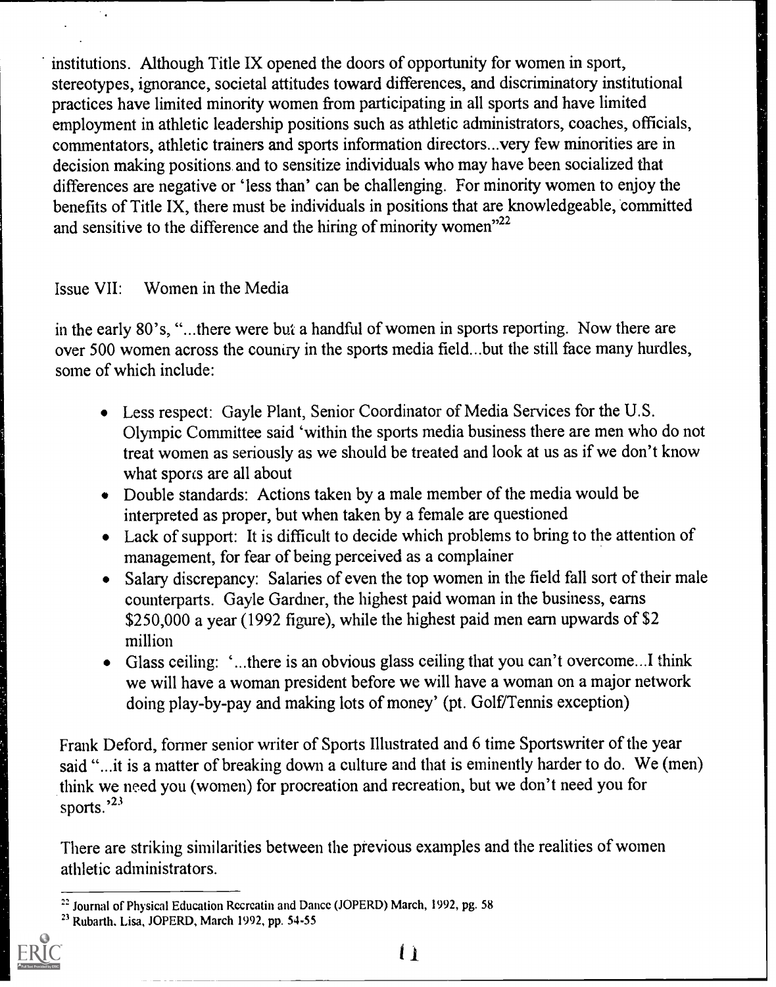institutions. Although Title IX opened the doors of opportunity for women in sport, stereotypes, ignorance, societal attitudes toward differences, and discriminatory institutional practices have limited minority women from participating in all sports and have limited employment in athletic leadership positions such as athletic administrators, coaches, officials, commentators, athletic trainers and sports information directors...very few minorities are in decision making positions and to sensitize individuals who may have been socialized that differences are negative or 'less than' can be challenging. For minority women to enjoy the benefits of Title IX, there must be individuals in positions that are knowledgeable, committed and sensitive to the difference and the hiring of minority women"<sup>22</sup>

#### Issue VII: Women in the Media

in the early 80's, "...there were but a handful of women in sports reporting. Now there are over 500 women across the country in the sports media field...but the still face many hurdles, some of which include:

- Less respect: Gayle Plant, Senior Coordinator of Media Services for the U.S. Olympic Committee said 'within the sports media business there are men who do not treat women as seriously as we should be treated and look at us as if we don't know what sports are all about
- Double standards: Actions taken by a male member of the media would be interpreted as proper, but when taken by a female are questioned
- Lack of support: It is difficult to decide which problems to bring to the attention of management, for fear of being perceived as a complainer
- Salary discrepancy: Salaries of even the top women in the field fall sort of their male counterparts. Gayle Gardner, the highest paid woman in the business, earns \$250,000 a year (1992 figure), while the highest paid men earn upwards of \$2 million
- Glass ceiling: `...there is an obvious glass ceiling that you can't overcome...I think we will have a woman president before we will have a woman on a major network doing play-by-pay and making lots of money' (pt. Golf/Tennis exception)

Frank Deford, former senior writer of Sports Illustrated and 6 time Sportswriter of the year said "...it is a matter of breaking down a culture and that is eminently harder to do. We (men) .think we need you (women) for procreation and recreation, but we don't need you for sports.'23

There are striking similarities between the previous examples and the realities of women athletic administrators.

<sup>23</sup> Rubarth, Lisa, JOPERD, March 1992, pp. 54-55



Li

<sup>&</sup>lt;sup>22</sup> Journal of Physical Education Recreatin and Dance (JOPERD) March, 1992, pg. 58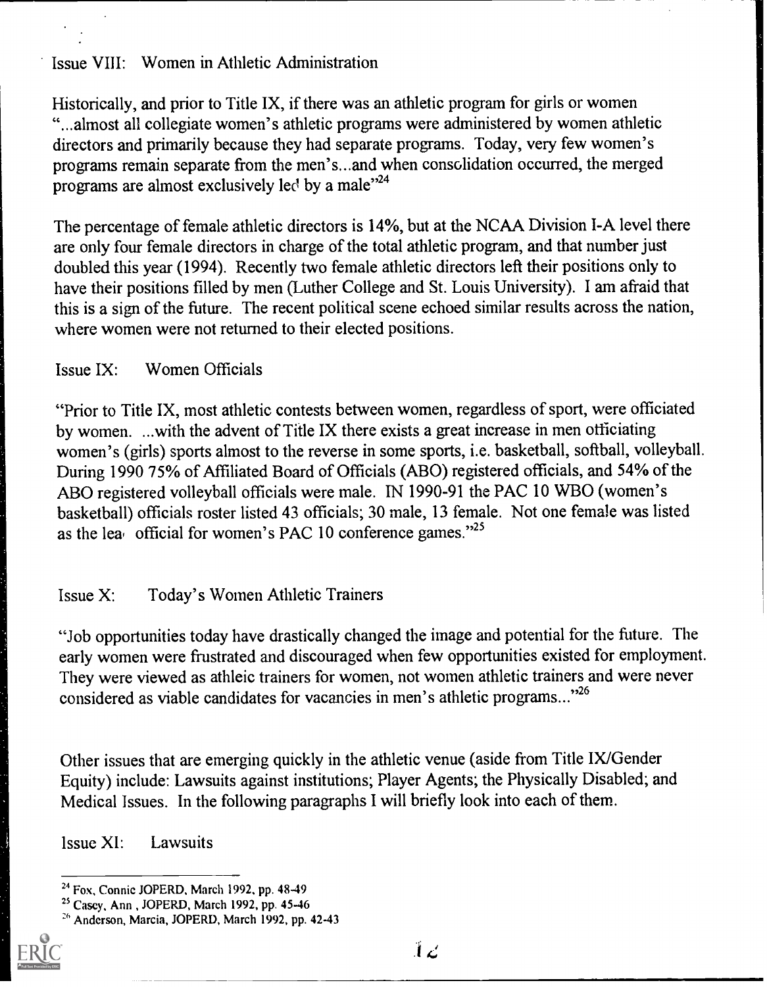#### Issue VIII: Women in Athletic Administration

Historically, and prior to Title IX, if there was an athletic program for girls or women "...almost all collegiate women's athletic programs were administered by women athletic directors and primarily because they had separate programs. Today, very few women's programs remain separate from the men's...and when consolidation occurred, the merged programs are almost exclusively led by a male"<sup>24</sup>

The percentage of female athletic directors is 14%, but at the NCAA Division I-A level there are only four female directors in charge of the total athletic program, and that number just doubled this year (1994). Recently two female athletic directors left their positions only to have their positions filled by men (Luther College and St. Louis University). I am afraid that this is a sign of the future. The recent political scene echoed similar results across the nation, where women were not returned to their elected positions.

#### Issue IX: Women Officials

"Prior to Title IX, most athletic contests between women, regardless of sport, were officiated by women. ...with the advent of Title IX there exists a great increase in men officiating women's (girls) sports almost to the reverse in some sports, i.e. basketball, softball, volleyball. During 1990 75% of Affiliated Board of Officials (ABO) registered officials, and 54% of the ABO registered volleyball officials were male. IN 1990-91 the PAC 10 WBO (women's basketball) officials roster listed 43 officials; 30 male, 13 female. Not one female was listed as the lea official for women's PAC 10 conference games."<sup>25</sup>

## Issue X: Today's Women Athletic Trainers

"Job opportunities today have drastically changed the image and potential for the future. The early women were frustrated and discouraged when few opportunities existed for employment. They were viewed as athleic trainers for women, not women athletic trainers and were never considered as viable candidates for vacancies in men's athletic programs..."26

Other issues that are emerging quickly in the athletic venue (aside from Title IX/Gender Equity) include: Lawsuits against institutions; Player Agents; the Physically Disabled; and Medical Issues. In the following paragraphs I will briefly look into each of them.

Issue XI: Lawsuits

<sup>26</sup> Anderson, Marcia, JOPERD, March 1992, pp. 42-43



<sup>24</sup> Fox, Connie JOPERD, March 1992, pp. 48-49

<sup>23</sup> Casey, Ann , JOPERD, March 1992, pp. 45-46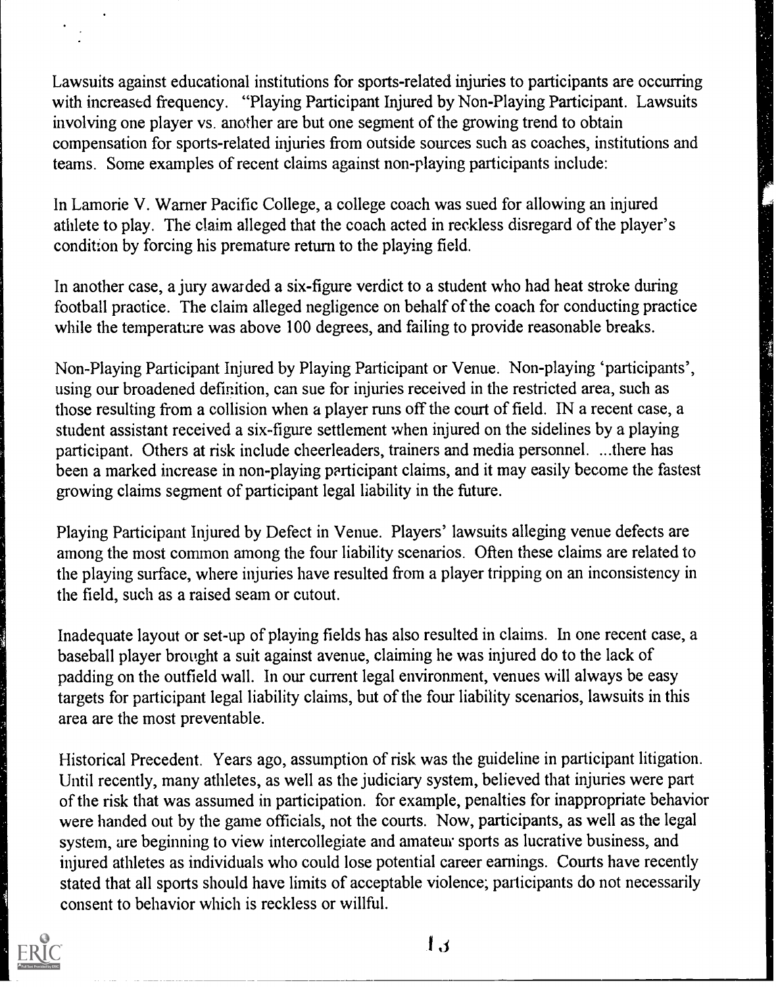Lawsuits against educational institutions for sports-related injuries to participants are occurring<br>with increased frequency. "Playing Participant Injured by Non-Playing Participant. Lawsuits<br>involving one player vs. anoth with increased frequency. "Playing Participant Injured by Non-Playing Participant. Lawsuits involving one player vs. another are but one segment of the growing trend to obtain compensation for sports-related injuries from outside sources such as coaches, institutions and teams. Some examples of recent claims against non-playing participants include:

In Lamorie V. Warner Pacific College, a college coach was sued for allowing an injured athlete to play. The claim alleged that the coach acted in reckless disregard of the player's condition by forcing his premature return to the playing field.

In another case, a jury awarded a six-figure verdict to a student who had heat stroke during football practice. The claim alleged negligence on behalf of the coach for conducting practice while the temperature was above 100 degrees, and failing to provide reasonable breaks.

Non-Playing Participant Injured by Playing Participant or Venue. Non-playing 'participants', using our broadened definition, can sue for injuries received in the restricted area, such as those resulting from a collision when a player runs off the court of field. IN a recent case, a student assistant received a six-figure settlement when injured on the sidelines by a playing participant. Others at risk include cheerleaders, trainers and media personnel. ...there has been a marked increase in non-playing participant claims, and it may easily become the fastest growing claims segment of participant legal liability in the future.

Playing Participant Injured by Defect in Venue. Players' lawsuits alleging venue defects are among the most common among the four liability scenarios. Often these claims are related to the playing surface, where injuries have resulted from a player tripping on an inconsistency in the field, such as a raised seam or cutout.

Inadequate layout or set-up of playing fields has also resulted in claims. In one recent case, a baseball player brought a suit against avenue, claiming he was injured do to the lack of padding on the outfield wall. In our current legal environment, venues will always be easy targets for participant legal liability claims, but of the four liability scenarios, lawsuits in this area are the most preventable.

Historical Precedent. Years ago, assumption of risk was the guideline in participant litigation. Until recently, many athletes, as well as the judiciary system, believed that injuries were part of the risk that was assumed in participation. for example, penalties for inappropriate behavior were handed out by the game officials, not the courts. Now, participants, as well as the legal system, are beginning to view intercollegiate and amateur sports as lucrative business, and injured athletes as individuals who could lose potential career earnings. Courts have recently stated that all sports should have limits of acceptable violence; participants do not necessarily consent to behavior which is reckless or willful.



 $\mathbf{I}$ .J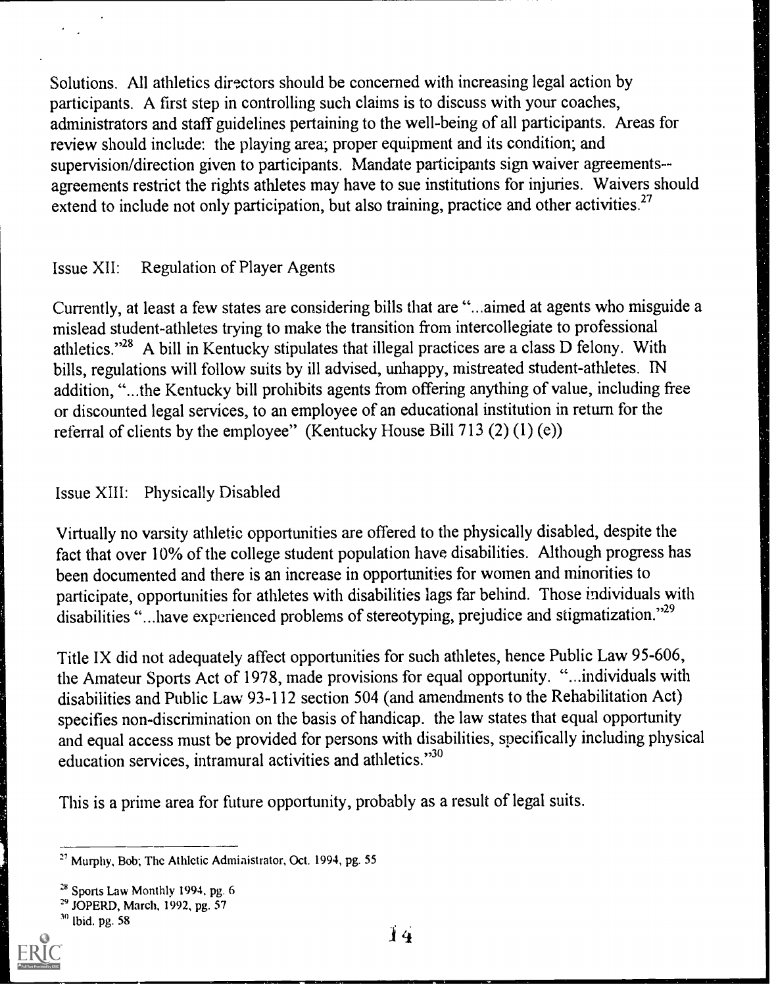Solutions. All athletics directors should be concerned with increasing legal action by participants. A first step in controlling such claims is to discuss with your coaches, administrators and staff guidelines pertaining to the well-being of all participants. Areas for review should include: the playing area; proper equipment and its condition; and supervision/direction given to participants. Mandate participants sign waiver agreements- agreements restrict the rights athletes may have to sue institutions for injuries. Waivers should extend to include not only participation, but also training, practice and other activities.<sup>27</sup>

#### Issue XII: Regulation of Player Agents

Currently, at least a few states are considering bills that are "...aimed at agents who misguide a mislead student-athletes trying to make the transition from intercollegiate to professional athletics."28 A bill in Kentucky stipulates that illegal practices are a class D felony. With bills, regulations will follow suits by ill advised, unhappy, mistreated student-athletes. IN addition, "...the Kentucky bill prohibits agents from offering anything of value, including free or discounted legal services, to an employee of an educational institution in return for the referral of clients by the employee" (Kentucky House Bill 713 (2) (1) (e))

#### Issue XIII: Physically Disabled

Virtually no varsity athletic opportunities are offered to the physically disabled, despite the fact that over 10% of the college student population have disabilities. Although progress has been documented and there is an increase in opportunities for women and minorities to participate, opportunities for athletes with disabilities lags far behind. Those individuals with disabilities "...have experienced problems of stereotyping, prejudice and stigmatization."<sup>29</sup>

Title IX did not adequately affect opportunities for such athletes, hence Public Law 95-606, the Amateur Sports Act of 1978, made provisions for equal opportunity. "...individuals with disabilities and Public Law 93-112 section 504 (and amendments to the Rehabilitation Act) specifies non-discrimination on the basis of handicap. the law states that equal opportunity and equal access must be provided for persons with disabilities, specifically including physical education services, intramural activities and athletics."30

This is a prime area for future opportunity, probably as a result of legal suits.

 $2<sup>7</sup>$  Murphy, Bob; The Athletic Administrator, Oct. 1994, pg. 55

<sup>&</sup>lt;sup>28</sup> Sports Law Monthly 1994, pg. 6

<sup>29</sup> JOPERD, March, 1992, pg. 57

 $30$  Ibid. pg. 58